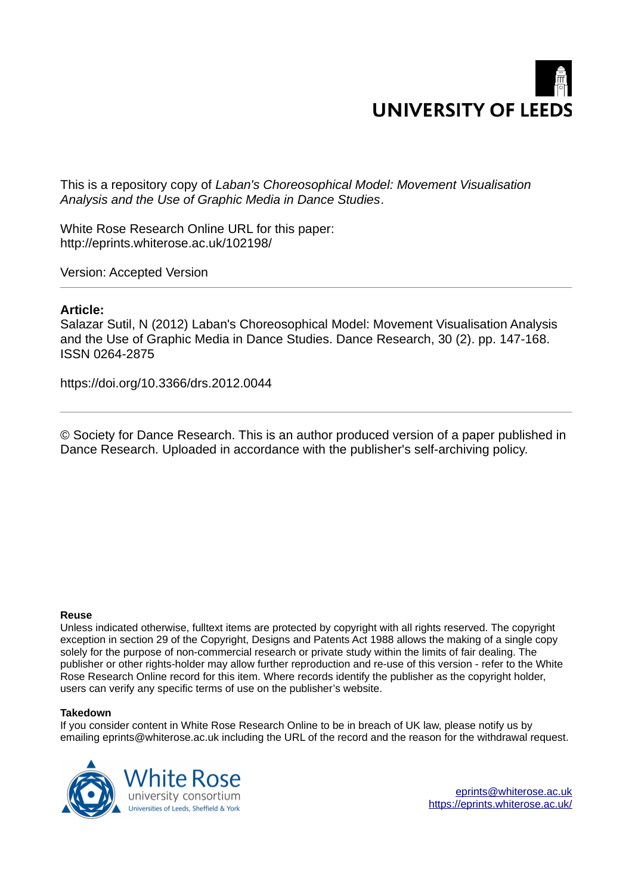

This is a repository copy of *Laban's Choreosophical Model: Movement Visualisation Analysis and the Use of Graphic Media in Dance Studies*.

White Rose Research Online URL for this paper: http://eprints.whiterose.ac.uk/102198/

Version: Accepted Version

## **Article:**

Salazar Sutil, N (2012) Laban's Choreosophical Model: Movement Visualisation Analysis and the Use of Graphic Media in Dance Studies. Dance Research, 30 (2). pp. 147-168. ISSN 0264-2875

https://doi.org/10.3366/drs.2012.0044

© Society for Dance Research. This is an author produced version of a paper published in Dance Research. Uploaded in accordance with the publisher's self-archiving policy.

#### **Reuse**

Unless indicated otherwise, fulltext items are protected by copyright with all rights reserved. The copyright exception in section 29 of the Copyright, Designs and Patents Act 1988 allows the making of a single copy solely for the purpose of non-commercial research or private study within the limits of fair dealing. The publisher or other rights-holder may allow further reproduction and re-use of this version - refer to the White Rose Research Online record for this item. Where records identify the publisher as the copyright holder, users can verify any specific terms of use on the publisher's website.

#### **Takedown**

If you consider content in White Rose Research Online to be in breach of UK law, please notify us by emailing eprints@whiterose.ac.uk including the URL of the record and the reason for the withdrawal request.

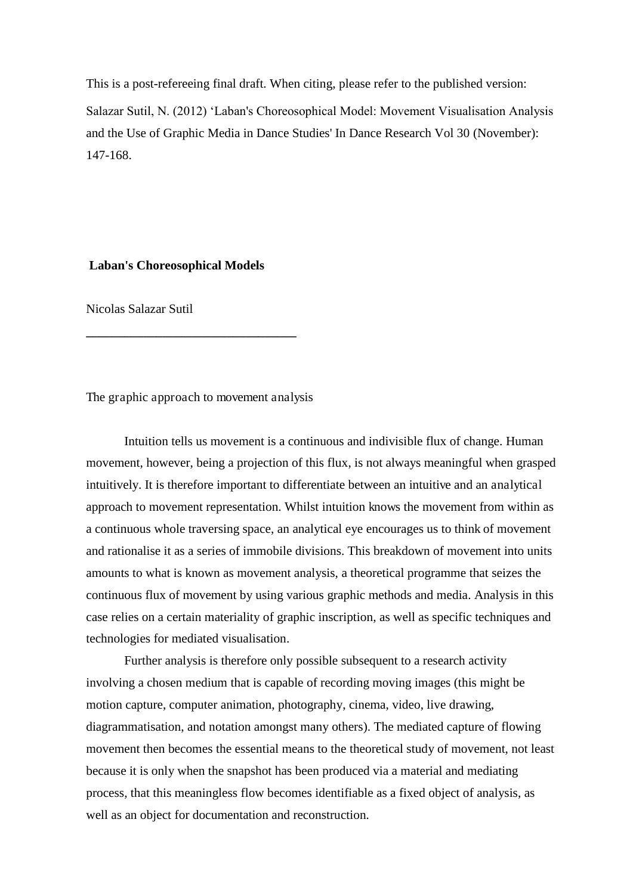This is a post-refereeing final draft. When citing, please refer to the published version: Salazar Sutil, N. (2012) 'Laban's Choreosophical Model: Movement Visualisation Analysis and the Use of Graphic Media in Dance Studies' In Dance Research Vol 30 (November): 147-168.

### **Laban's Choreosophical Models**

Nicolas Salazar Sutil

The graphic approach to movement analysis

**\_\_\_\_\_\_\_\_\_\_\_\_\_\_\_\_\_\_\_\_\_\_\_\_\_\_\_\_\_\_\_\_\_** 

Intuition tells us movement is a continuous and indivisible flux of change. Human movement, however, being a projection of this flux, is not always meaningful when grasped intuitively. It is therefore important to differentiate between an intuitive and an analytical approach to movement representation. Whilst intuition knows the movement from within as a continuous whole traversing space, an analytical eye encourages us to think of movement and rationalise it as a series of immobile divisions. This breakdown of movement into units amounts to what is known as movement analysis, a theoretical programme that seizes the continuous flux of movement by using various graphic methods and media. Analysis in this case relies on a certain materiality of graphic inscription, as well as specific techniques and technologies for mediated visualisation.

Further analysis is therefore only possible subsequent to a research activity involving a chosen medium that is capable of recording moving images (this might be motion capture, computer animation, photography, cinema, video, live drawing, diagrammatisation, and notation amongst many others). The mediated capture of flowing movement then becomes the essential means to the theoretical study of movement, not least because it is only when the snapshot has been produced via a material and mediating process, that this meaningless flow becomes identifiable as a fixed object of analysis, as well as an object for documentation and reconstruction.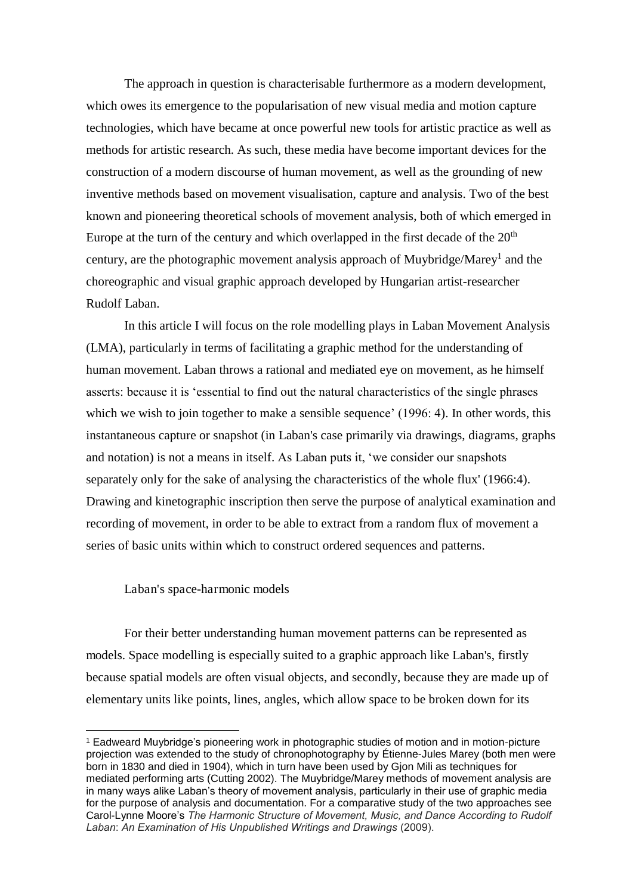The approach in question is characterisable furthermore as a modern development, which owes its emergence to the popularisation of new visual media and motion capture technologies, which have became at once powerful new tools for artistic practice as well as methods for artistic research. As such, these media have become important devices for the construction of a modern discourse of human movement, as well as the grounding of new inventive methods based on movement visualisation, capture and analysis. Two of the best known and pioneering theoretical schools of movement analysis, both of which emerged in Europe at the turn of the century and which overlapped in the first decade of the  $20<sup>th</sup>$ century, are the photographic movement analysis approach of Muybridge/Marey<sup>1</sup> and the choreographic and visual graphic approach developed by Hungarian artist-researcher Rudolf Laban.

In this article I will focus on the role modelling plays in Laban Movement Analysis (LMA), particularly in terms of facilitating a graphic method for the understanding of human movement. Laban throws a rational and mediated eye on movement, as he himself asserts: because it is 'essential to find out the natural characteristics of the single phrases which we wish to join together to make a sensible sequence' (1996: 4). In other words, this instantaneous capture or snapshot (in Laban's case primarily via drawings, diagrams, graphs and notation) is not a means in itself. As Laban puts it, 'we consider our snapshots separately only for the sake of analysing the characteristics of the whole flux' (1966:4). Drawing and kinetographic inscription then serve the purpose of analytical examination and recording of movement, in order to be able to extract from a random flux of movement a series of basic units within which to construct ordered sequences and patterns.

Laban's space-harmonic models

 $\overline{a}$ 

For their better understanding human movement patterns can be represented as models. Space modelling is especially suited to a graphic approach like Laban's, firstly because spatial models are often visual objects, and secondly, because they are made up of elementary units like points, lines, angles, which allow space to be broken down for its

<sup>1</sup> Eadweard Muybridge's pioneering work in photographic studies of motion and in motion-picture projection was extended to the study of chronophotography by Étienne-Jules Marey (both men were born in 1830 and died in 1904), which in turn have been used by Gjon Mili as techniques for mediated performing arts (Cutting 2002). The Muybridge/Marey methods of movement analysis are in many ways alike Laban's theory of movement analysis, particularly in their use of graphic media for the purpose of analysis and documentation. For a comparative study of the two approaches see Carol-Lynne Moore's *The Harmonic Structure of Movement, Music, and Dance According to Rudolf Laban*: *An Examination of His Unpublished Writings and Drawings* (2009).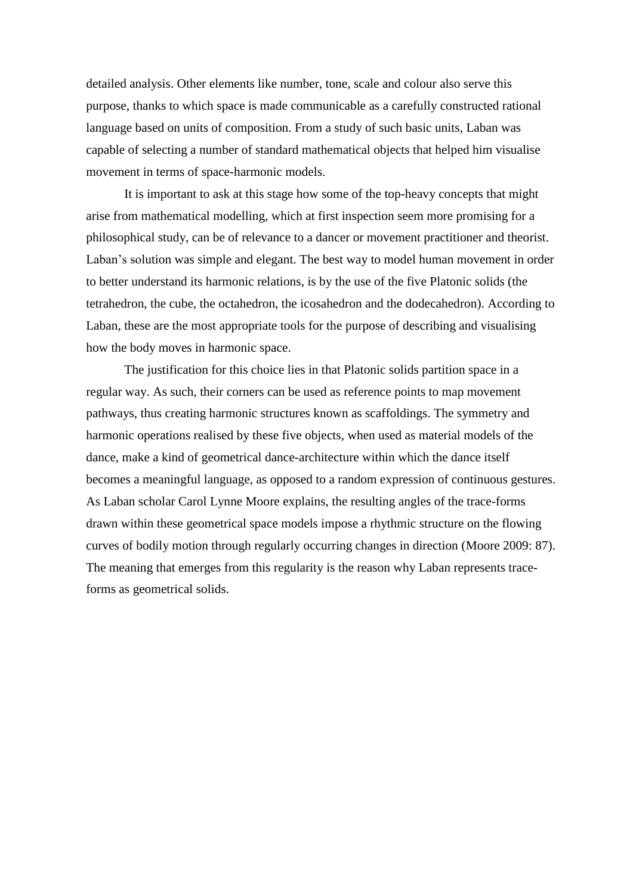detailed analysis. Other elements like number, tone, scale and colour also serve this purpose, thanks to which space is made communicable as a carefully constructed rational language based on units of composition. From a study of such basic units, Laban was capable of selecting a number of standard mathematical objects that helped him visualise movement in terms of space-harmonic models.

It is important to ask at this stage how some of the top-heavy concepts that might arise from mathematical modelling, which at first inspection seem more promising for a philosophical study, can be of relevance to a dancer or movement practitioner and theorist. Laban's solution was simple and elegant. The best way to model human movement in order to better understand its harmonic relations, is by the use of the five Platonic solids (the tetrahedron, the cube, the octahedron, the icosahedron and the dodecahedron). According to Laban, these are the most appropriate tools for the purpose of describing and visualising how the body moves in harmonic space.

The justification for this choice lies in that Platonic solids partition space in a regular way. As such, their corners can be used as reference points to map movement pathways, thus creating harmonic structures known as scaffoldings. The symmetry and harmonic operations realised by these five objects, when used as material models of the dance, make a kind of geometrical dance-architecture within which the dance itself becomes a meaningful language, as opposed to a random expression of continuous gestures. As Laban scholar Carol Lynne Moore explains, the resulting angles of the trace-forms drawn within these geometrical space models impose a rhythmic structure on the flowing curves of bodily motion through regularly occurring changes in direction (Moore 2009: 87). The meaning that emerges from this regularity is the reason why Laban represents traceforms as geometrical solids.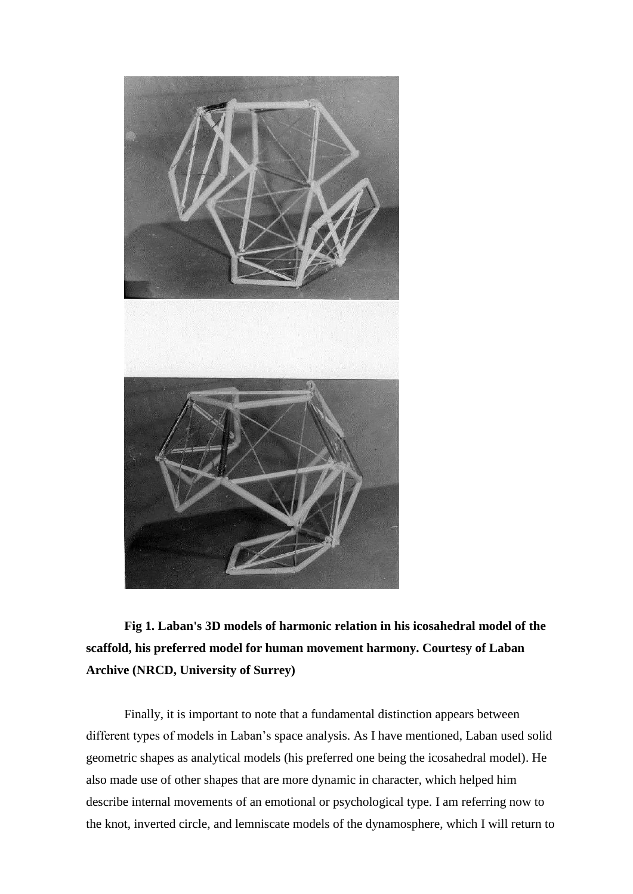

**Fig 1. Laban's 3D models of harmonic relation in his icosahedral model of the scaffold, his preferred model for human movement harmony. Courtesy of Laban Archive (NRCD, University of Surrey)** 

Finally, it is important to note that a fundamental distinction appears between different types of models in Laban's space analysis. As I have mentioned, Laban used solid geometric shapes as analytical models (his preferred one being the icosahedral model). He also made use of other shapes that are more dynamic in character, which helped him describe internal movements of an emotional or psychological type. I am referring now to the knot, inverted circle, and lemniscate models of the dynamosphere, which I will return to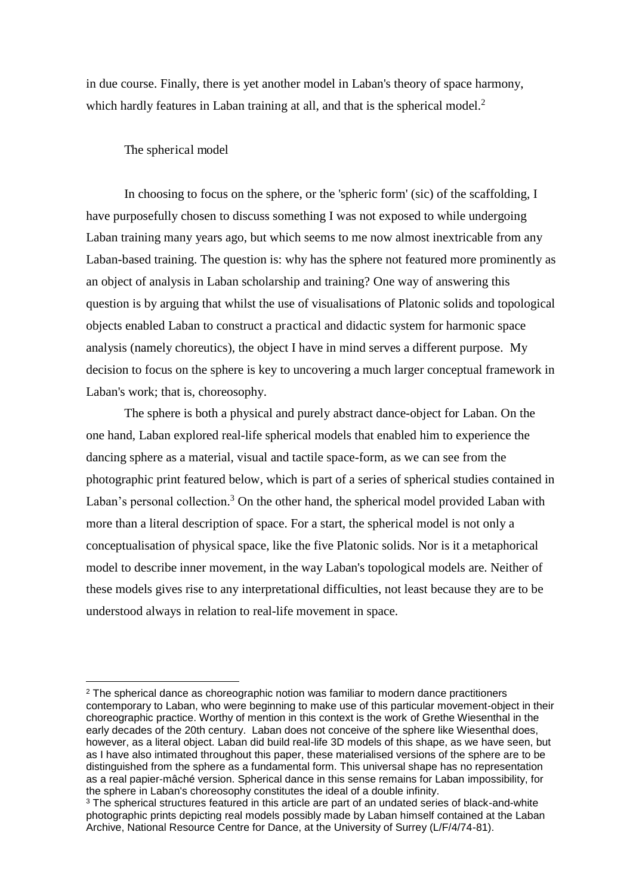in due course. Finally, there is yet another model in Laban's theory of space harmony, which hardly features in Laban training at all, and that is the spherical model.<sup>2</sup>

## The spherical model

 $\overline{a}$ 

In choosing to focus on the sphere, or the 'spheric form' (sic) of the scaffolding, I have purposefully chosen to discuss something I was not exposed to while undergoing Laban training many years ago, but which seems to me now almost inextricable from any Laban-based training. The question is: why has the sphere not featured more prominently as an object of analysis in Laban scholarship and training? One way of answering this question is by arguing that whilst the use of visualisations of Platonic solids and topological objects enabled Laban to construct a practical and didactic system for harmonic space analysis (namely choreutics), the object I have in mind serves a different purpose. My decision to focus on the sphere is key to uncovering a much larger conceptual framework in Laban's work; that is, choreosophy.

The sphere is both a physical and purely abstract dance-object for Laban. On the one hand, Laban explored real-life spherical models that enabled him to experience the dancing sphere as a material, visual and tactile space-form, as we can see from the photographic print featured below, which is part of a series of spherical studies contained in Laban's personal collection.<sup>3</sup> On the other hand, the spherical model provided Laban with more than a literal description of space. For a start, the spherical model is not only a conceptualisation of physical space, like the five Platonic solids. Nor is it a metaphorical model to describe inner movement, in the way Laban's topological models are. Neither of these models gives rise to any interpretational difficulties, not least because they are to be understood always in relation to real-life movement in space.

<sup>&</sup>lt;sup>2</sup> The spherical dance as choreographic notion was familiar to modern dance practitioners contemporary to Laban, who were beginning to make use of this particular movement-object in their choreographic practice. Worthy of mention in this context is the work of Grethe Wiesenthal in the early decades of the 20th century. Laban does not conceive of the sphere like Wiesenthal does, however, as a literal object. Laban did build real-life 3D models of this shape, as we have seen, but as I have also intimated throughout this paper, these materialised versions of the sphere are to be distinguished from the sphere as a fundamental form. This universal shape has no representation as a real papier-mâché version. Spherical dance in this sense remains for Laban impossibility, for the sphere in Laban's choreosophy constitutes the ideal of a double infinity.

 $3$  The spherical structures featured in this article are part of an undated series of black-and-white photographic prints depicting real models possibly made by Laban himself contained at the Laban Archive, National Resource Centre for Dance, at the University of Surrey (L/F/4/74-81).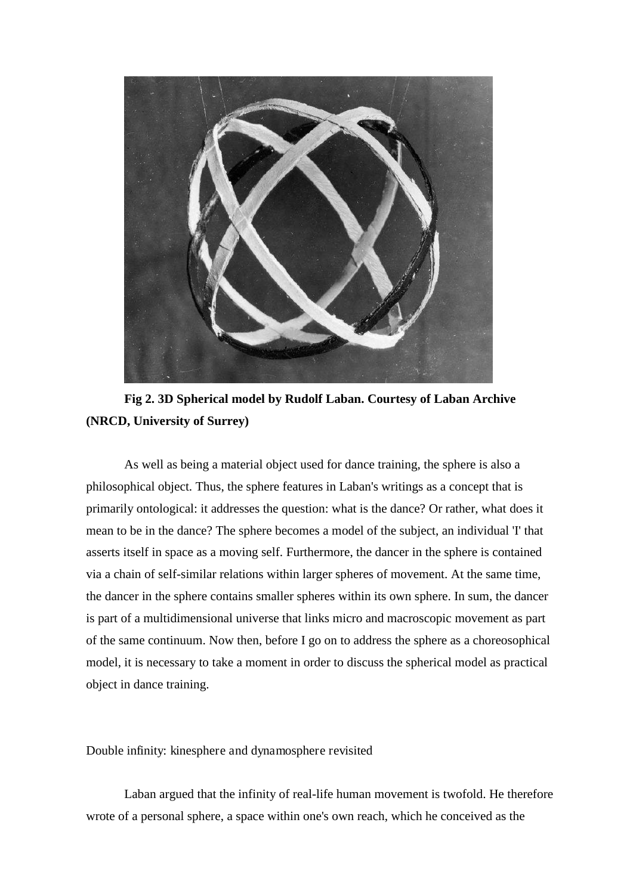

**Fig 2. 3D Spherical model by Rudolf Laban. Courtesy of Laban Archive (NRCD, University of Surrey)** 

As well as being a material object used for dance training, the sphere is also a philosophical object. Thus, the sphere features in Laban's writings as a concept that is primarily ontological: it addresses the question: what is the dance? Or rather, what does it mean to be in the dance? The sphere becomes a model of the subject, an individual 'I' that asserts itself in space as a moving self. Furthermore, the dancer in the sphere is contained via a chain of self-similar relations within larger spheres of movement. At the same time, the dancer in the sphere contains smaller spheres within its own sphere. In sum, the dancer is part of a multidimensional universe that links micro and macroscopic movement as part of the same continuum. Now then, before I go on to address the sphere as a choreosophical model, it is necessary to take a moment in order to discuss the spherical model as practical object in dance training.

Double infinity: kinesphere and dynamosphere revisited

Laban argued that the infinity of real-life human movement is twofold. He therefore wrote of a personal sphere, a space within one's own reach, which he conceived as the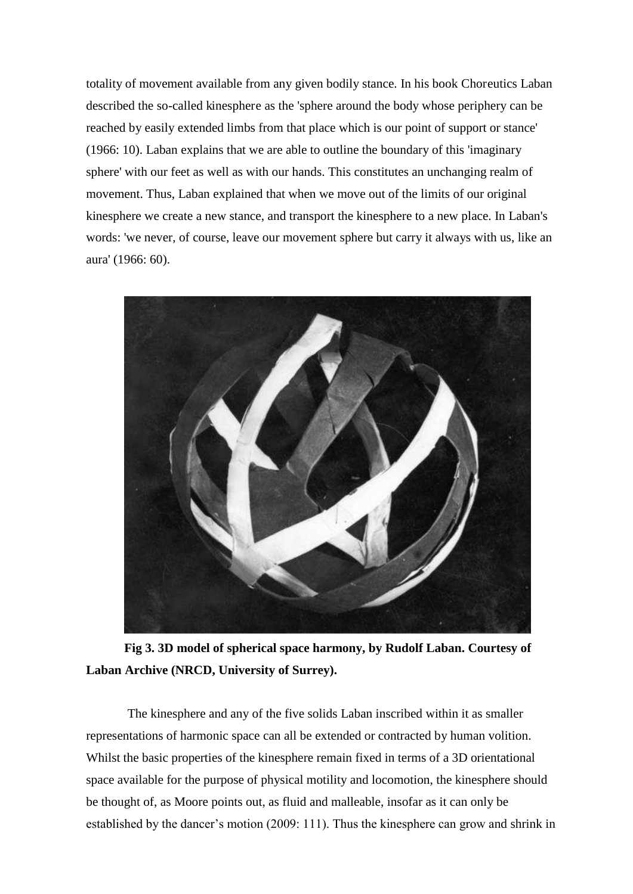totality of movement available from any given bodily stance. In his book Choreutics Laban described the so-called kinesphere as the 'sphere around the body whose periphery can be reached by easily extended limbs from that place which is our point of support or stance' (1966: 10). Laban explains that we are able to outline the boundary of this 'imaginary sphere' with our feet as well as with our hands. This constitutes an unchanging realm of movement. Thus, Laban explained that when we move out of the limits of our original kinesphere we create a new stance, and transport the kinesphere to a new place. In Laban's words: 'we never, of course, leave our movement sphere but carry it always with us, like an aura' (1966: 60).



**Fig 3. 3D model of spherical space harmony, by Rudolf Laban. Courtesy of Laban Archive (NRCD, University of Surrey).** 

 The kinesphere and any of the five solids Laban inscribed within it as smaller representations of harmonic space can all be extended or contracted by human volition. Whilst the basic properties of the kinesphere remain fixed in terms of a 3D orientational space available for the purpose of physical motility and locomotion, the kinesphere should be thought of, as Moore points out, as fluid and malleable, insofar as it can only be established by the dancer's motion (2009: 111). Thus the kinesphere can grow and shrink in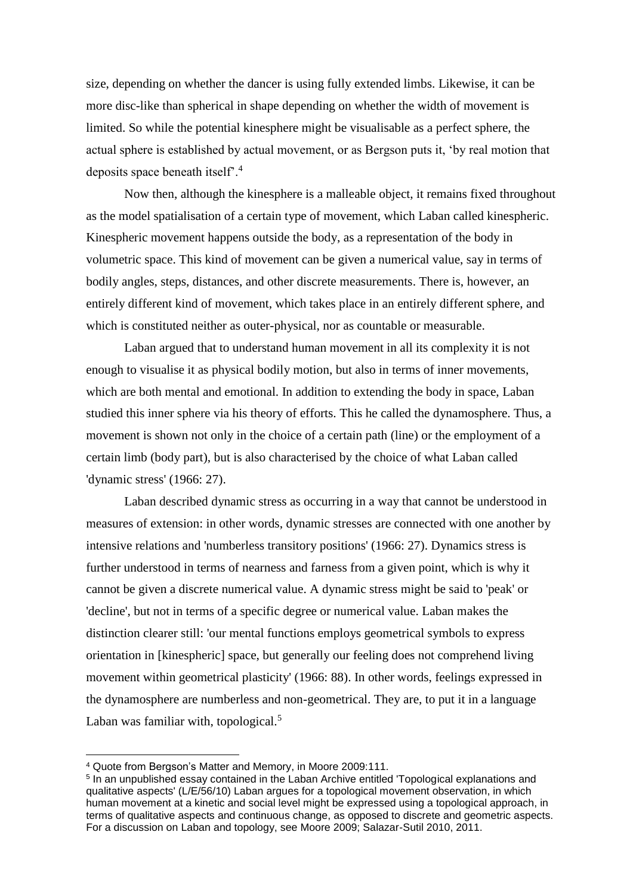size, depending on whether the dancer is using fully extended limbs. Likewise, it can be more disc-like than spherical in shape depending on whether the width of movement is limited. So while the potential kinesphere might be visualisable as a perfect sphere, the actual sphere is established by actual movement, or as Bergson puts it, 'by real motion that deposits space beneath itself'.<sup>4</sup>

Now then, although the kinesphere is a malleable object, it remains fixed throughout as the model spatialisation of a certain type of movement, which Laban called kinespheric. Kinespheric movement happens outside the body, as a representation of the body in volumetric space. This kind of movement can be given a numerical value, say in terms of bodily angles, steps, distances, and other discrete measurements. There is, however, an entirely different kind of movement, which takes place in an entirely different sphere, and which is constituted neither as outer-physical, nor as countable or measurable.

Laban argued that to understand human movement in all its complexity it is not enough to visualise it as physical bodily motion, but also in terms of inner movements, which are both mental and emotional. In addition to extending the body in space, Laban studied this inner sphere via his theory of efforts. This he called the dynamosphere. Thus, a movement is shown not only in the choice of a certain path (line) or the employment of a certain limb (body part), but is also characterised by the choice of what Laban called 'dynamic stress' (1966: 27).

Laban described dynamic stress as occurring in a way that cannot be understood in measures of extension: in other words, dynamic stresses are connected with one another by intensive relations and 'numberless transitory positions' (1966: 27). Dynamics stress is further understood in terms of nearness and farness from a given point, which is why it cannot be given a discrete numerical value. A dynamic stress might be said to 'peak' or 'decline', but not in terms of a specific degree or numerical value. Laban makes the distinction clearer still: 'our mental functions employs geometrical symbols to express orientation in [kinespheric] space, but generally our feeling does not comprehend living movement within geometrical plasticity' (1966: 88). In other words, feelings expressed in the dynamosphere are numberless and non-geometrical. They are, to put it in a language Laban was familiar with, topological.<sup>5</sup>

<sup>4</sup> Quote from Bergson's Matter and Memory, in Moore 2009:111.

<sup>&</sup>lt;sup>5</sup> In an unpublished essay contained in the Laban Archive entitled 'Topological explanations and qualitative aspects' (L/E/56/10) Laban argues for a topological movement observation, in which human movement at a kinetic and social level might be expressed using a topological approach, in terms of qualitative aspects and continuous change, as opposed to discrete and geometric aspects. For a discussion on Laban and topology, see Moore 2009; Salazar-Sutil 2010, 2011.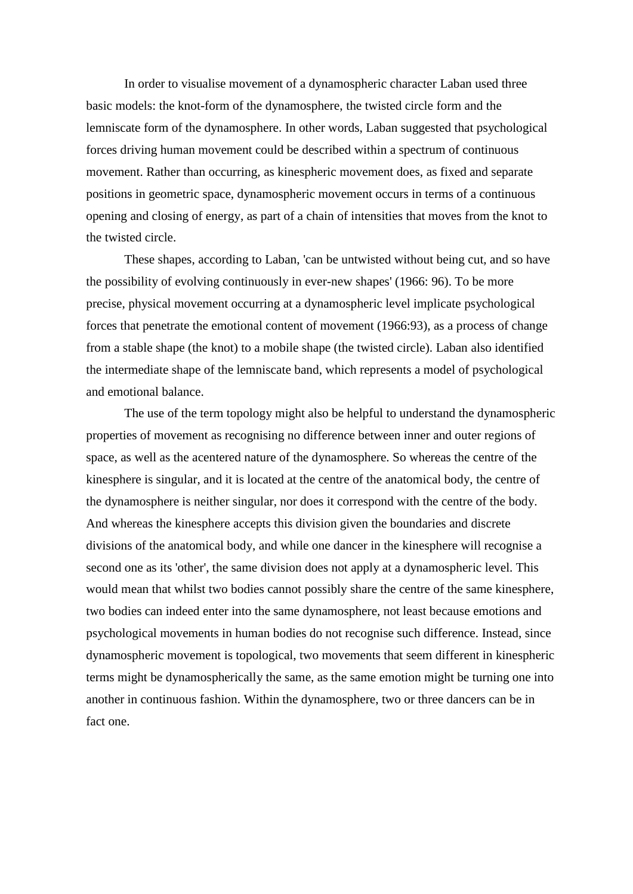In order to visualise movement of a dynamospheric character Laban used three basic models: the knot-form of the dynamosphere, the twisted circle form and the lemniscate form of the dynamosphere. In other words, Laban suggested that psychological forces driving human movement could be described within a spectrum of continuous movement. Rather than occurring, as kinespheric movement does, as fixed and separate positions in geometric space, dynamospheric movement occurs in terms of a continuous opening and closing of energy, as part of a chain of intensities that moves from the knot to the twisted circle.

These shapes, according to Laban, 'can be untwisted without being cut, and so have the possibility of evolving continuously in ever-new shapes' (1966: 96). To be more precise, physical movement occurring at a dynamospheric level implicate psychological forces that penetrate the emotional content of movement (1966:93), as a process of change from a stable shape (the knot) to a mobile shape (the twisted circle). Laban also identified the intermediate shape of the lemniscate band, which represents a model of psychological and emotional balance.

The use of the term topology might also be helpful to understand the dynamospheric properties of movement as recognising no difference between inner and outer regions of space, as well as the acentered nature of the dynamosphere. So whereas the centre of the kinesphere is singular, and it is located at the centre of the anatomical body, the centre of the dynamosphere is neither singular, nor does it correspond with the centre of the body. And whereas the kinesphere accepts this division given the boundaries and discrete divisions of the anatomical body, and while one dancer in the kinesphere will recognise a second one as its 'other', the same division does not apply at a dynamospheric level. This would mean that whilst two bodies cannot possibly share the centre of the same kinesphere, two bodies can indeed enter into the same dynamosphere, not least because emotions and psychological movements in human bodies do not recognise such difference. Instead, since dynamospheric movement is topological, two movements that seem different in kinespheric terms might be dynamospherically the same, as the same emotion might be turning one into another in continuous fashion. Within the dynamosphere, two or three dancers can be in fact one.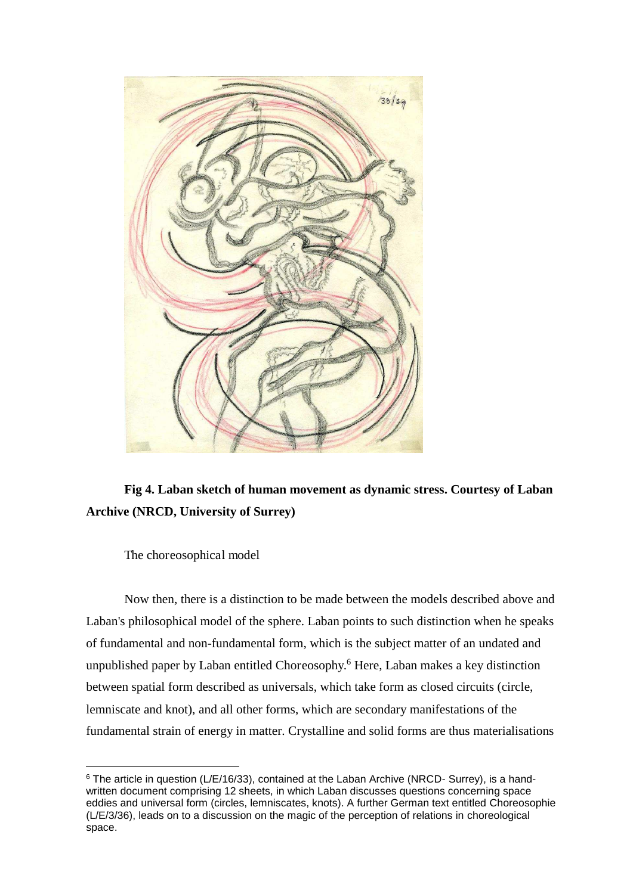

# **Fig 4. Laban sketch of human movement as dynamic stress. Courtesy of Laban Archive (NRCD, University of Surrey)**

The choreosophical model

 $\overline{a}$ 

Now then, there is a distinction to be made between the models described above and Laban's philosophical model of the sphere. Laban points to such distinction when he speaks of fundamental and non-fundamental form, which is the subject matter of an undated and unpublished paper by Laban entitled Choreosophy.<sup>6</sup> Here, Laban makes a key distinction between spatial form described as universals, which take form as closed circuits (circle, lemniscate and knot), and all other forms, which are secondary manifestations of the fundamental strain of energy in matter. Crystalline and solid forms are thus materialisations

<sup>&</sup>lt;sup>6</sup> The article in question (L/E/16/33), contained at the Laban Archive (NRCD- Surrey), is a handwritten document comprising 12 sheets, in which Laban discusses questions concerning space eddies and universal form (circles, lemniscates, knots). A further German text entitled Choreosophie (L/E/3/36), leads on to a discussion on the magic of the perception of relations in choreological space.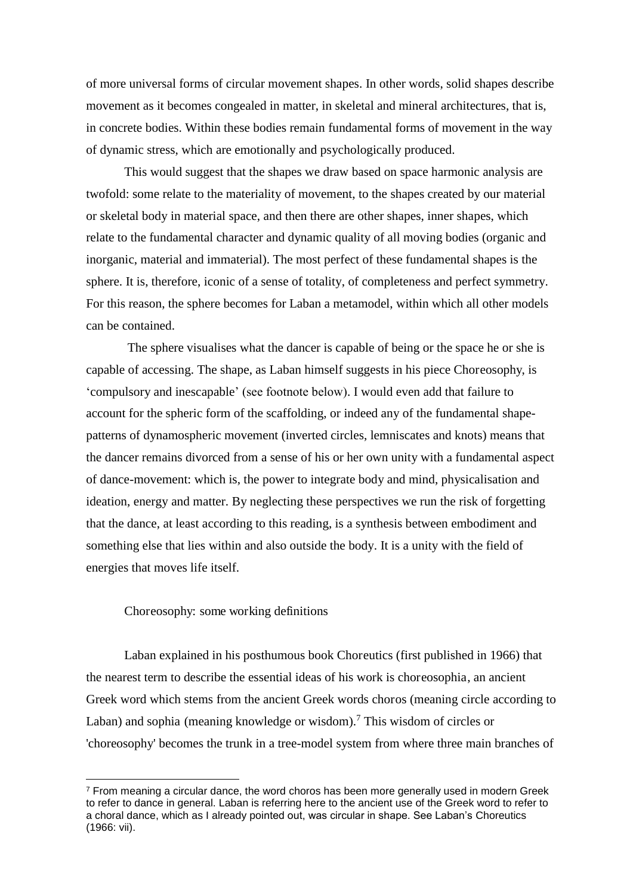of more universal forms of circular movement shapes. In other words, solid shapes describe movement as it becomes congealed in matter, in skeletal and mineral architectures, that is, in concrete bodies. Within these bodies remain fundamental forms of movement in the way of dynamic stress, which are emotionally and psychologically produced.

This would suggest that the shapes we draw based on space harmonic analysis are twofold: some relate to the materiality of movement, to the shapes created by our material or skeletal body in material space, and then there are other shapes, inner shapes, which relate to the fundamental character and dynamic quality of all moving bodies (organic and inorganic, material and immaterial). The most perfect of these fundamental shapes is the sphere. It is, therefore, iconic of a sense of totality, of completeness and perfect symmetry. For this reason, the sphere becomes for Laban a metamodel, within which all other models can be contained.

 The sphere visualises what the dancer is capable of being or the space he or she is capable of accessing. The shape, as Laban himself suggests in his piece Choreosophy, is 'compulsory and inescapable' (see footnote below). I would even add that failure to account for the spheric form of the scaffolding, or indeed any of the fundamental shapepatterns of dynamospheric movement (inverted circles, lemniscates and knots) means that the dancer remains divorced from a sense of his or her own unity with a fundamental aspect of dance-movement: which is, the power to integrate body and mind, physicalisation and ideation, energy and matter. By neglecting these perspectives we run the risk of forgetting that the dance, at least according to this reading, is a synthesis between embodiment and something else that lies within and also outside the body. It is a unity with the field of energies that moves life itself.

## Choreosophy: some working definitions

 $\overline{a}$ 

Laban explained in his posthumous book Choreutics (first published in 1966) that the nearest term to describe the essential ideas of his work is choreosophia, an ancient Greek word which stems from the ancient Greek words choros (meaning circle according to Laban) and sophia (meaning knowledge or wisdom).<sup>7</sup> This wisdom of circles or 'choreosophy' becomes the trunk in a tree-model system from where three main branches of

<sup>&</sup>lt;sup>7</sup> From meaning a circular dance, the word choros has been more generally used in modern Greek to refer to dance in general. Laban is referring here to the ancient use of the Greek word to refer to a choral dance, which as I already pointed out, was circular in shape. See Laban's Choreutics (1966: vii).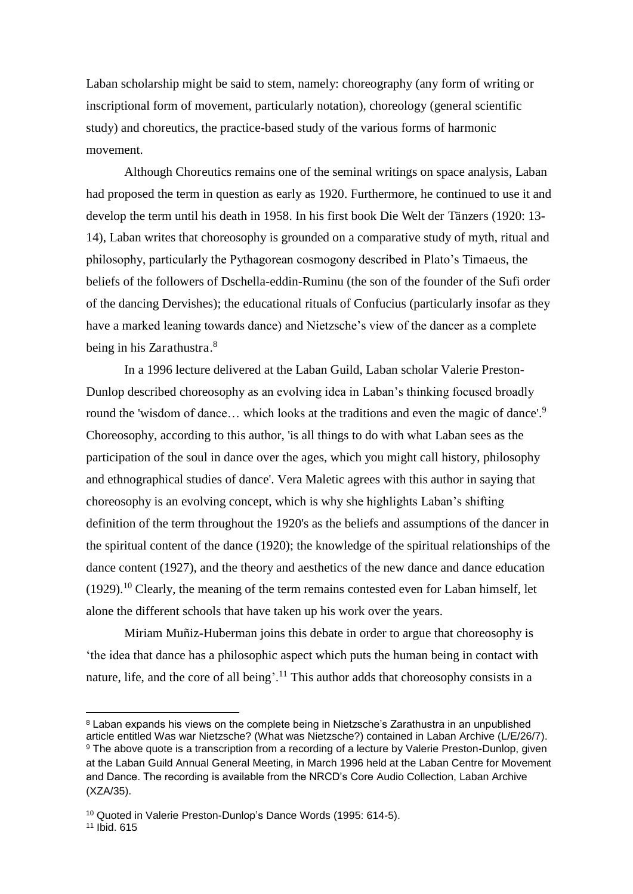Laban scholarship might be said to stem, namely: choreography (any form of writing or inscriptional form of movement, particularly notation), choreology (general scientific study) and choreutics, the practice-based study of the various forms of harmonic movement.

Although Choreutics remains one of the seminal writings on space analysis, Laban had proposed the term in question as early as 1920. Furthermore, he continued to use it and develop the term until his death in 1958. In his first book Die Welt der Tänzers (1920: 13- 14), Laban writes that choreosophy is grounded on a comparative study of myth, ritual and philosophy, particularly the Pythagorean cosmogony described in Plato's Timaeus, the beliefs of the followers of Dschella-eddin-Ruminu (the son of the founder of the Sufi order of the dancing Dervishes); the educational rituals of Confucius (particularly insofar as they have a marked leaning towards dance) and Nietzsche's view of the dancer as a complete being in his Zarathustra.<sup>8</sup>

In a 1996 lecture delivered at the Laban Guild, Laban scholar Valerie Preston-Dunlop described choreosophy as an evolving idea in Laban's thinking focused broadly round the 'wisdom of dance... which looks at the traditions and even the magic of dance'.<sup>9</sup> Choreosophy, according to this author, 'is all things to do with what Laban sees as the participation of the soul in dance over the ages, which you might call history, philosophy and ethnographical studies of dance'. Vera Maletic agrees with this author in saying that choreosophy is an evolving concept, which is why she highlights Laban's shifting definition of the term throughout the 1920's as the beliefs and assumptions of the dancer in the spiritual content of the dance (1920); the knowledge of the spiritual relationships of the dance content (1927), and the theory and aesthetics of the new dance and dance education  $(1929).$ <sup>10</sup> Clearly, the meaning of the term remains contested even for Laban himself, let alone the different schools that have taken up his work over the years.

Miriam Muñiz-Huberman joins this debate in order to argue that choreosophy is 'the idea that dance has a philosophic aspect which puts the human being in contact with nature, life, and the core of all being'.<sup>11</sup> This author adds that choreosophy consists in a

<sup>8</sup> Laban expands his views on the complete being in Nietzsche's Zarathustra in an unpublished article entitled Was war Nietzsche? (What was Nietzsche?) contained in Laban Archive (L/E/26/7). <sup>9</sup> The above quote is a transcription from a recording of a lecture by Valerie Preston-Dunlop, given at the Laban Guild Annual General Meeting, in March 1996 held at the Laban Centre for Movement and Dance. The recording is available from the NRCD's Core Audio Collection, Laban Archive (XZA/35).

<sup>10</sup> Quoted in Valerie Preston-Dunlop's Dance Words (1995: 614-5).

<sup>11</sup> Ibid. 615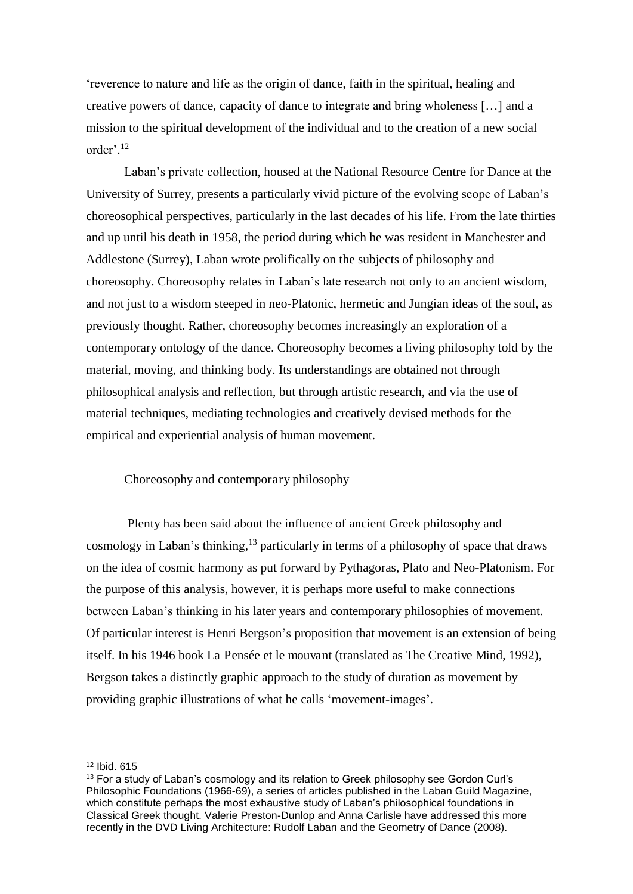'reverence to nature and life as the origin of dance, faith in the spiritual, healing and creative powers of dance, capacity of dance to integrate and bring wholeness […] and a mission to the spiritual development of the individual and to the creation of a new social order'. 12

Laban's private collection, housed at the National Resource Centre for Dance at the University of Surrey, presents a particularly vivid picture of the evolving scope of Laban's choreosophical perspectives, particularly in the last decades of his life. From the late thirties and up until his death in 1958, the period during which he was resident in Manchester and Addlestone (Surrey), Laban wrote prolifically on the subjects of philosophy and choreosophy. Choreosophy relates in Laban's late research not only to an ancient wisdom, and not just to a wisdom steeped in neo-Platonic, hermetic and Jungian ideas of the soul, as previously thought. Rather, choreosophy becomes increasingly an exploration of a contemporary ontology of the dance. Choreosophy becomes a living philosophy told by the material, moving, and thinking body. Its understandings are obtained not through philosophical analysis and reflection, but through artistic research, and via the use of material techniques, mediating technologies and creatively devised methods for the empirical and experiential analysis of human movement.

## Choreosophy and contemporary philosophy

 Plenty has been said about the influence of ancient Greek philosophy and cosmology in Laban's thinking,<sup>13</sup> particularly in terms of a philosophy of space that draws on the idea of cosmic harmony as put forward by Pythagoras, Plato and Neo-Platonism. For the purpose of this analysis, however, it is perhaps more useful to make connections between Laban's thinking in his later years and contemporary philosophies of movement. Of particular interest is Henri Bergson's proposition that movement is an extension of being itself. In his 1946 book La Pensée et le mouvant (translated as The Creative Mind, 1992), Bergson takes a distinctly graphic approach to the study of duration as movement by providing graphic illustrations of what he calls 'movement-images'.

<sup>12</sup> Ibid. 615

<sup>&</sup>lt;sup>13</sup> For a study of Laban's cosmology and its relation to Greek philosophy see Gordon Curl's Philosophic Foundations (1966-69), a series of articles published in the Laban Guild Magazine, which constitute perhaps the most exhaustive study of Laban's philosophical foundations in Classical Greek thought. Valerie Preston-Dunlop and Anna Carlisle have addressed this more recently in the DVD Living Architecture: Rudolf Laban and the Geometry of Dance (2008).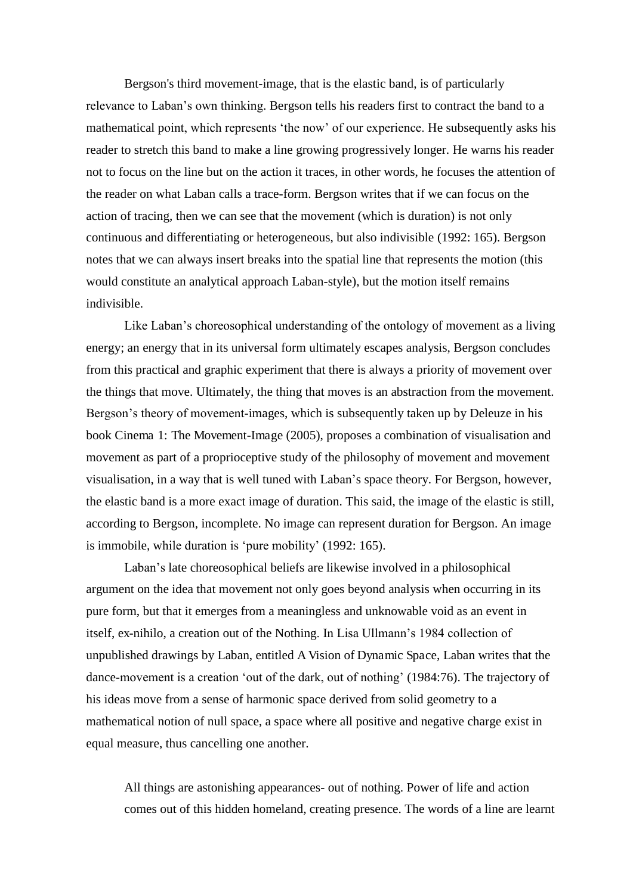Bergson's third movement-image, that is the elastic band, is of particularly relevance to Laban's own thinking. Bergson tells his readers first to contract the band to a mathematical point, which represents 'the now' of our experience. He subsequently asks his reader to stretch this band to make a line growing progressively longer. He warns his reader not to focus on the line but on the action it traces, in other words, he focuses the attention of the reader on what Laban calls a trace-form. Bergson writes that if we can focus on the action of tracing, then we can see that the movement (which is duration) is not only continuous and differentiating or heterogeneous, but also indivisible (1992: 165). Bergson notes that we can always insert breaks into the spatial line that represents the motion (this would constitute an analytical approach Laban-style), but the motion itself remains indivisible.

Like Laban's choreosophical understanding of the ontology of movement as a living energy; an energy that in its universal form ultimately escapes analysis, Bergson concludes from this practical and graphic experiment that there is always a priority of movement over the things that move. Ultimately, the thing that moves is an abstraction from the movement. Bergson's theory of movement-images, which is subsequently taken up by Deleuze in his book Cinema 1: The Movement-Image (2005), proposes a combination of visualisation and movement as part of a proprioceptive study of the philosophy of movement and movement visualisation, in a way that is well tuned with Laban's space theory. For Bergson, however, the elastic band is a more exact image of duration. This said, the image of the elastic is still, according to Bergson, incomplete. No image can represent duration for Bergson. An image is immobile, while duration is 'pure mobility' (1992: 165).

Laban's late choreosophical beliefs are likewise involved in a philosophical argument on the idea that movement not only goes beyond analysis when occurring in its pure form, but that it emerges from a meaningless and unknowable void as an event in itself, ex-nihilo, a creation out of the Nothing. In Lisa Ullmann's 1984 collection of unpublished drawings by Laban, entitled A Vision of Dynamic Space, Laban writes that the dance-movement is a creation 'out of the dark, out of nothing' (1984:76). The trajectory of his ideas move from a sense of harmonic space derived from solid geometry to a mathematical notion of null space, a space where all positive and negative charge exist in equal measure, thus cancelling one another.

All things are astonishing appearances- out of nothing. Power of life and action comes out of this hidden homeland, creating presence. The words of a line are learnt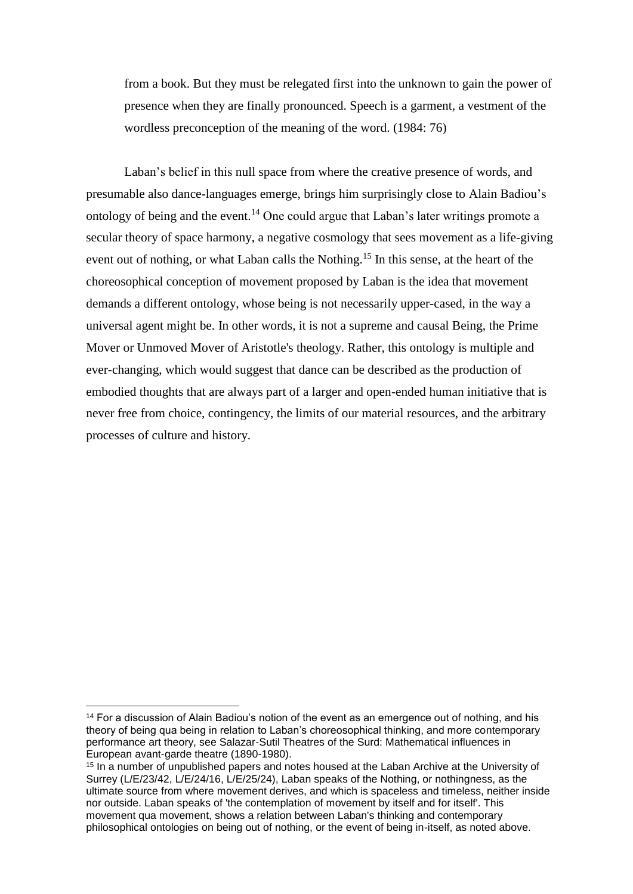from a book. But they must be relegated first into the unknown to gain the power of presence when they are finally pronounced. Speech is a garment, a vestment of the wordless preconception of the meaning of the word. (1984: 76)

Laban's belief in this null space from where the creative presence of words, and presumable also dance-languages emerge, brings him surprisingly close to Alain Badiou's ontology of being and the event.<sup>14</sup> One could argue that Laban's later writings promote a secular theory of space harmony, a negative cosmology that sees movement as a life-giving event out of nothing, or what Laban calls the Nothing.<sup>15</sup> In this sense, at the heart of the choreosophical conception of movement proposed by Laban is the idea that movement demands a different ontology, whose being is not necessarily upper-cased, in the way a universal agent might be. In other words, it is not a supreme and causal Being, the Prime Mover or Unmoved Mover of Aristotle's theology. Rather, this ontology is multiple and ever-changing, which would suggest that dance can be described as the production of embodied thoughts that are always part of a larger and open-ended human initiative that is never free from choice, contingency, the limits of our material resources, and the arbitrary processes of culture and history.

<sup>&</sup>lt;sup>14</sup> For a discussion of Alain Badiou's notion of the event as an emergence out of nothing, and his theory of being qua being in relation to Laban's choreosophical thinking, and more contemporary performance art theory, see Salazar-Sutil Theatres of the Surd: Mathematical influences in European avant-garde theatre (1890-1980).

<sup>&</sup>lt;sup>15</sup> In a number of unpublished papers and notes housed at the Laban Archive at the University of Surrey (L/E/23/42, L/E/24/16, L/E/25/24), Laban speaks of the Nothing, or nothingness, as the ultimate source from where movement derives, and which is spaceless and timeless, neither inside nor outside. Laban speaks of 'the contemplation of movement by itself and for itself'. This movement qua movement, shows a relation between Laban's thinking and contemporary philosophical ontologies on being out of nothing, or the event of being in-itself, as noted above.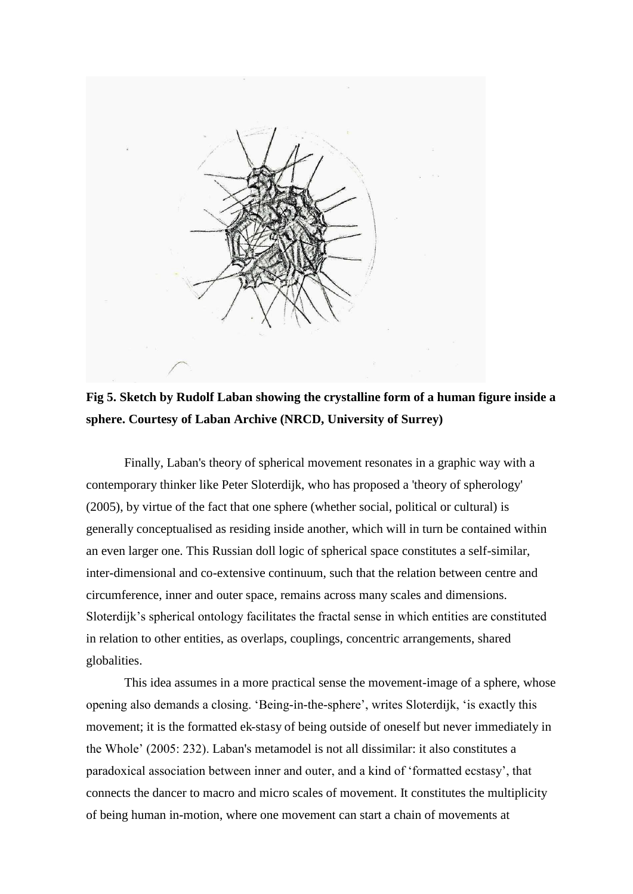

## **Fig 5. Sketch by Rudolf Laban showing the crystalline form of a human figure inside a sphere. Courtesy of Laban Archive (NRCD, University of Surrey)**

Finally, Laban's theory of spherical movement resonates in a graphic way with a contemporary thinker like Peter Sloterdijk, who has proposed a 'theory of spherology' (2005), by virtue of the fact that one sphere (whether social, political or cultural) is generally conceptualised as residing inside another, which will in turn be contained within an even larger one. This Russian doll logic of spherical space constitutes a self-similar, inter-dimensional and co-extensive continuum, such that the relation between centre and circumference, inner and outer space, remains across many scales and dimensions. Sloterdijk's spherical ontology facilitates the fractal sense in which entities are constituted in relation to other entities, as overlaps, couplings, concentric arrangements, shared globalities.

This idea assumes in a more practical sense the movement-image of a sphere, whose opening also demands a closing. 'Being-in-the-sphere', writes Sloterdijk, 'is exactly this movement; it is the formatted ek-stasy of being outside of oneself but never immediately in the Whole' (2005: 232). Laban's metamodel is not all dissimilar: it also constitutes a paradoxical association between inner and outer, and a kind of 'formatted ecstasy', that connects the dancer to macro and micro scales of movement. It constitutes the multiplicity of being human in-motion, where one movement can start a chain of movements at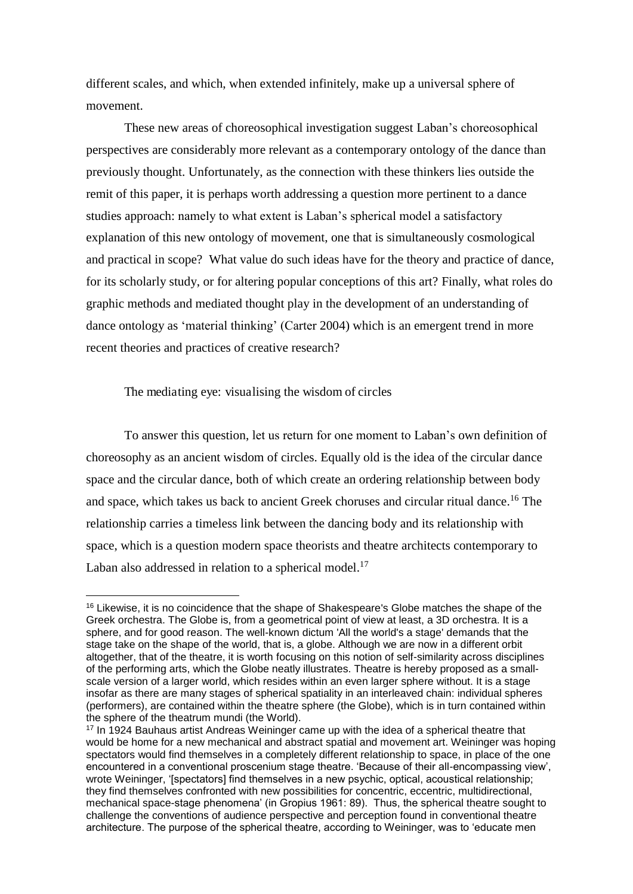different scales, and which, when extended infinitely, make up a universal sphere of movement.

These new areas of choreosophical investigation suggest Laban's choreosophical perspectives are considerably more relevant as a contemporary ontology of the dance than previously thought. Unfortunately, as the connection with these thinkers lies outside the remit of this paper, it is perhaps worth addressing a question more pertinent to a dance studies approach: namely to what extent is Laban's spherical model a satisfactory explanation of this new ontology of movement, one that is simultaneously cosmological and practical in scope? What value do such ideas have for the theory and practice of dance, for its scholarly study, or for altering popular conceptions of this art? Finally, what roles do graphic methods and mediated thought play in the development of an understanding of dance ontology as 'material thinking' (Carter 2004) which is an emergent trend in more recent theories and practices of creative research?

The mediating eye: visualising the wisdom of circles

 $\overline{a}$ 

To answer this question, let us return for one moment to Laban's own definition of choreosophy as an ancient wisdom of circles. Equally old is the idea of the circular dance space and the circular dance, both of which create an ordering relationship between body and space, which takes us back to ancient Greek choruses and circular ritual dance.<sup>16</sup> The relationship carries a timeless link between the dancing body and its relationship with space, which is a question modern space theorists and theatre architects contemporary to Laban also addressed in relation to a spherical model.<sup>17</sup>

<sup>&</sup>lt;sup>16</sup> Likewise, it is no coincidence that the shape of Shakespeare's Globe matches the shape of the Greek orchestra. The Globe is, from a geometrical point of view at least, a 3D orchestra. It is a sphere, and for good reason. The well-known dictum 'All the world's a stage' demands that the stage take on the shape of the world, that is, a globe. Although we are now in a different orbit altogether, that of the theatre, it is worth focusing on this notion of self-similarity across disciplines of the performing arts, which the Globe neatly illustrates. Theatre is hereby proposed as a smallscale version of a larger world, which resides within an even larger sphere without. It is a stage insofar as there are many stages of spherical spatiality in an interleaved chain: individual spheres (performers), are contained within the theatre sphere (the Globe), which is in turn contained within the sphere of the theatrum mundi (the World).

<sup>&</sup>lt;sup>17</sup> In 1924 Bauhaus artist Andreas Weininger came up with the idea of a spherical theatre that would be home for a new mechanical and abstract spatial and movement art. Weininger was hoping spectators would find themselves in a completely different relationship to space, in place of the one encountered in a conventional proscenium stage theatre. 'Because of their all-encompassing view', wrote Weininger, '[spectators] find themselves in a new psychic, optical, acoustical relationship; they find themselves confronted with new possibilities for concentric, eccentric, multidirectional, mechanical space-stage phenomena' (in Gropius 1961: 89). Thus, the spherical theatre sought to challenge the conventions of audience perspective and perception found in conventional theatre architecture. The purpose of the spherical theatre, according to Weininger, was to 'educate men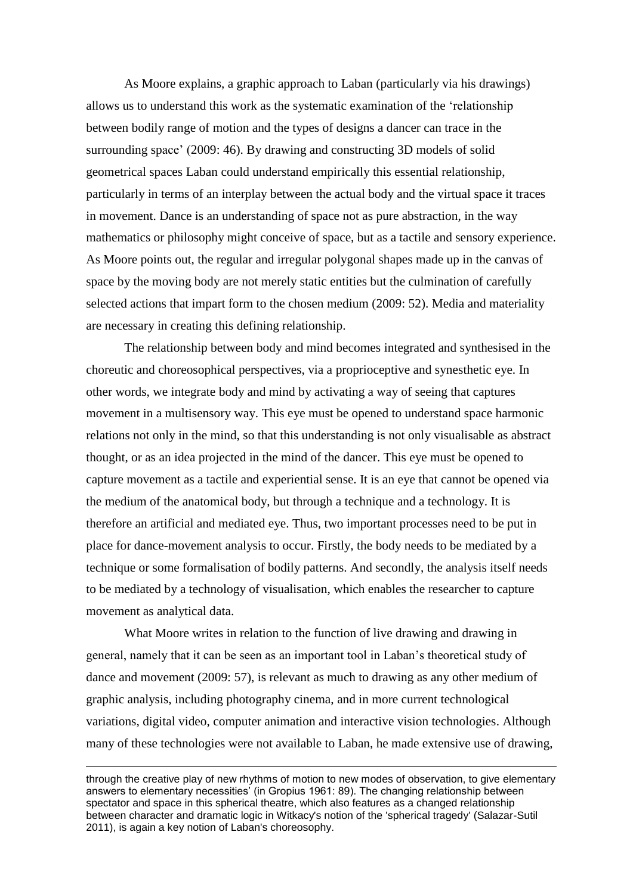As Moore explains, a graphic approach to Laban (particularly via his drawings) allows us to understand this work as the systematic examination of the 'relationship between bodily range of motion and the types of designs a dancer can trace in the surrounding space' (2009: 46). By drawing and constructing 3D models of solid geometrical spaces Laban could understand empirically this essential relationship, particularly in terms of an interplay between the actual body and the virtual space it traces in movement. Dance is an understanding of space not as pure abstraction, in the way mathematics or philosophy might conceive of space, but as a tactile and sensory experience. As Moore points out, the regular and irregular polygonal shapes made up in the canvas of space by the moving body are not merely static entities but the culmination of carefully selected actions that impart form to the chosen medium (2009: 52). Media and materiality are necessary in creating this defining relationship.

The relationship between body and mind becomes integrated and synthesised in the choreutic and choreosophical perspectives, via a proprioceptive and synesthetic eye. In other words, we integrate body and mind by activating a way of seeing that captures movement in a multisensory way. This eye must be opened to understand space harmonic relations not only in the mind, so that this understanding is not only visualisable as abstract thought, or as an idea projected in the mind of the dancer. This eye must be opened to capture movement as a tactile and experiential sense. It is an eye that cannot be opened via the medium of the anatomical body, but through a technique and a technology. It is therefore an artificial and mediated eye. Thus, two important processes need to be put in place for dance-movement analysis to occur. Firstly, the body needs to be mediated by a technique or some formalisation of bodily patterns. And secondly, the analysis itself needs to be mediated by a technology of visualisation, which enables the researcher to capture movement as analytical data.

What Moore writes in relation to the function of live drawing and drawing in general, namely that it can be seen as an important tool in Laban's theoretical study of dance and movement (2009: 57), is relevant as much to drawing as any other medium of graphic analysis, including photography cinema, and in more current technological variations, digital video, computer animation and interactive vision technologies. Although many of these technologies were not available to Laban, he made extensive use of drawing,

through the creative play of new rhythms of motion to new modes of observation, to give elementary answers to elementary necessities' (in Gropius 1961: 89). The changing relationship between spectator and space in this spherical theatre, which also features as a changed relationship between character and dramatic logic in Witkacy's notion of the 'spherical tragedy' (Salazar-Sutil 2011), is again a key notion of Laban's choreosophy.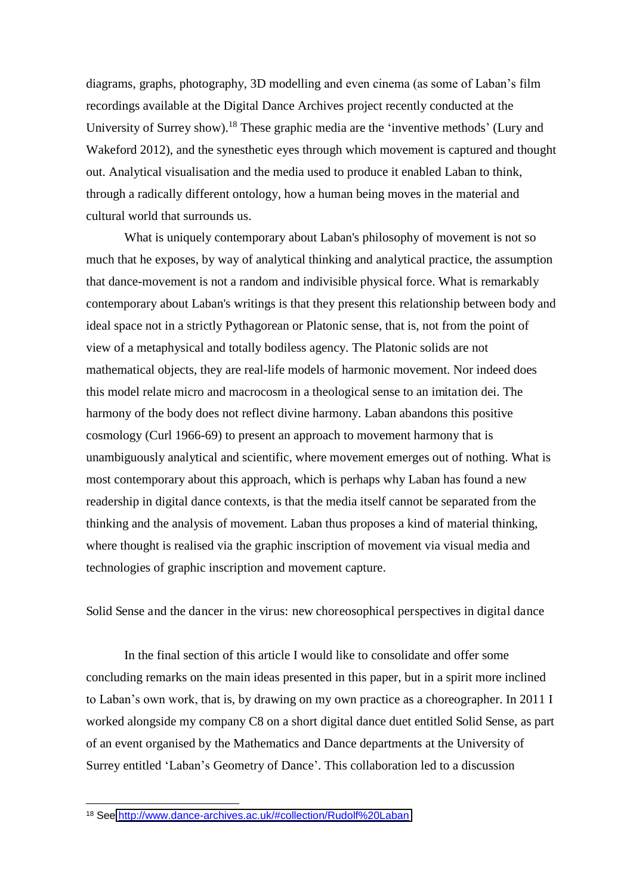diagrams, graphs, photography, 3D modelling and even cinema (as some of Laban's film recordings available at the Digital Dance Archives project recently conducted at the University of Surrey show).<sup>18</sup> These graphic media are the 'inventive methods' (Lury and Wakeford 2012), and the synesthetic eyes through which movement is captured and thought out. Analytical visualisation and the media used to produce it enabled Laban to think, through a radically different ontology, how a human being moves in the material and cultural world that surrounds us.

What is uniquely contemporary about Laban's philosophy of movement is not so much that he exposes, by way of analytical thinking and analytical practice, the assumption that dance-movement is not a random and indivisible physical force. What is remarkably contemporary about Laban's writings is that they present this relationship between body and ideal space not in a strictly Pythagorean or Platonic sense, that is, not from the point of view of a metaphysical and totally bodiless agency. The Platonic solids are not mathematical objects, they are real-life models of harmonic movement. Nor indeed does this model relate micro and macrocosm in a theological sense to an imitation dei. The harmony of the body does not reflect divine harmony. Laban abandons this positive cosmology (Curl 1966-69) to present an approach to movement harmony that is unambiguously analytical and scientific, where movement emerges out of nothing. What is most contemporary about this approach, which is perhaps why Laban has found a new readership in digital dance contexts, is that the media itself cannot be separated from the thinking and the analysis of movement. Laban thus proposes a kind of material thinking, where thought is realised via the graphic inscription of movement via visual media and technologies of graphic inscription and movement capture.

Solid Sense and the dancer in the virus: new choreosophical perspectives in digital dance

 In the final section of this article I would like to consolidate and offer some concluding remarks on the main ideas presented in this paper, but in a spirit more inclined to Laban's own work, that is, by drawing on my own practice as a choreographer. In 2011 I worked alongside my company C8 on a short digital dance duet entitled Solid Sense, as part of an event organised by the Mathematics and Dance departments at the University of Surrey entitled 'Laban's Geometry of Dance'. This collaboration led to a discussion

<sup>18</sup> See<http://www.dance-archives.ac.uk/#collection/Rudolf%20Laban>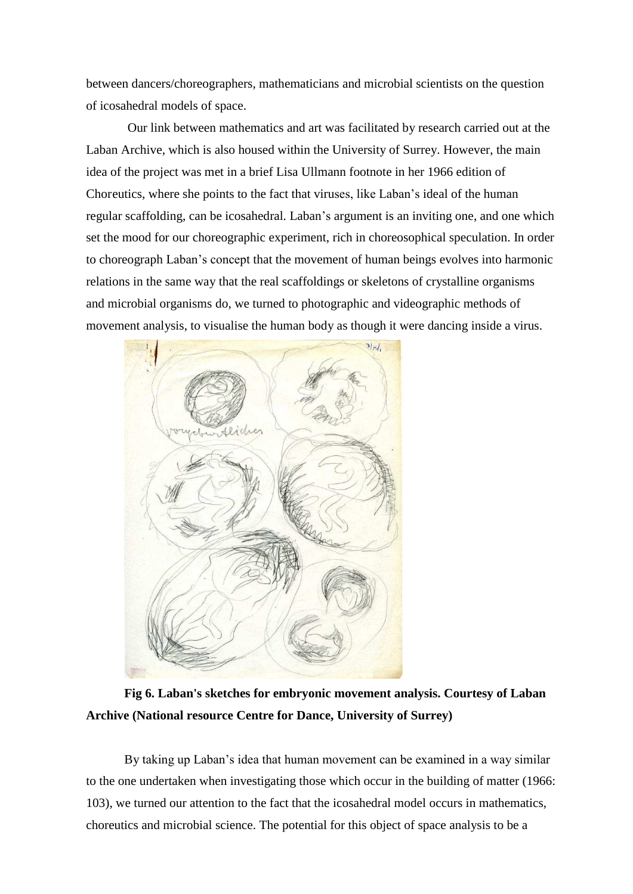between dancers/choreographers, mathematicians and microbial scientists on the question of icosahedral models of space.

 Our link between mathematics and art was facilitated by research carried out at the Laban Archive, which is also housed within the University of Surrey. However, the main idea of the project was met in a brief Lisa Ullmann footnote in her 1966 edition of Choreutics, where she points to the fact that viruses, like Laban's ideal of the human regular scaffolding, can be icosahedral. Laban's argument is an inviting one, and one which set the mood for our choreographic experiment, rich in choreosophical speculation. In order to choreograph Laban's concept that the movement of human beings evolves into harmonic relations in the same way that the real scaffoldings or skeletons of crystalline organisms and microbial organisms do, we turned to photographic and videographic methods of movement analysis, to visualise the human body as though it were dancing inside a virus.



**Fig 6. Laban's sketches for embryonic movement analysis. Courtesy of Laban Archive (National resource Centre for Dance, University of Surrey)** 

By taking up Laban's idea that human movement can be examined in a way similar to the one undertaken when investigating those which occur in the building of matter (1966: 103), we turned our attention to the fact that the icosahedral model occurs in mathematics, choreutics and microbial science. The potential for this object of space analysis to be a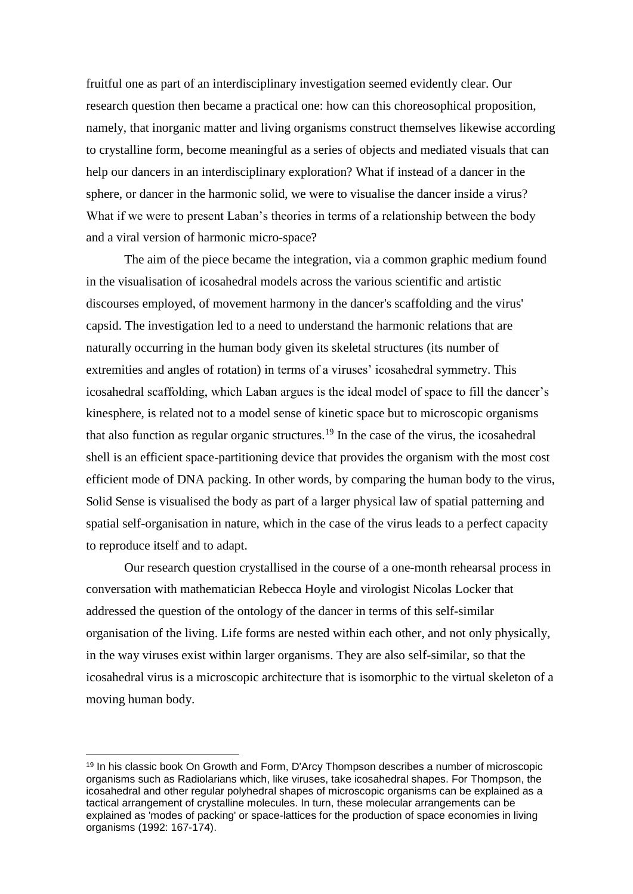fruitful one as part of an interdisciplinary investigation seemed evidently clear. Our research question then became a practical one: how can this choreosophical proposition, namely, that inorganic matter and living organisms construct themselves likewise according to crystalline form, become meaningful as a series of objects and mediated visuals that can help our dancers in an interdisciplinary exploration? What if instead of a dancer in the sphere, or dancer in the harmonic solid, we were to visualise the dancer inside a virus? What if we were to present Laban's theories in terms of a relationship between the body and a viral version of harmonic micro-space?

 The aim of the piece became the integration, via a common graphic medium found in the visualisation of icosahedral models across the various scientific and artistic discourses employed, of movement harmony in the dancer's scaffolding and the virus' capsid. The investigation led to a need to understand the harmonic relations that are naturally occurring in the human body given its skeletal structures (its number of extremities and angles of rotation) in terms of a viruses' icosahedral symmetry. This icosahedral scaffolding, which Laban argues is the ideal model of space to fill the dancer's kinesphere, is related not to a model sense of kinetic space but to microscopic organisms that also function as regular organic structures.<sup>19</sup> In the case of the virus, the icosahedral shell is an efficient space-partitioning device that provides the organism with the most cost efficient mode of DNA packing. In other words, by comparing the human body to the virus, Solid Sense is visualised the body as part of a larger physical law of spatial patterning and spatial self-organisation in nature, which in the case of the virus leads to a perfect capacity to reproduce itself and to adapt.

Our research question crystallised in the course of a one-month rehearsal process in conversation with mathematician Rebecca Hoyle and virologist Nicolas Locker that addressed the question of the ontology of the dancer in terms of this self-similar organisation of the living. Life forms are nested within each other, and not only physically, in the way viruses exist within larger organisms. They are also self-similar, so that the icosahedral virus is a microscopic architecture that is isomorphic to the virtual skeleton of a moving human body.

<sup>&</sup>lt;sup>19</sup> In his classic book On Growth and Form, D'Arcy Thompson describes a number of microscopic organisms such as Radiolarians which, like viruses, take icosahedral shapes. For Thompson, the icosahedral and other regular polyhedral shapes of microscopic organisms can be explained as a tactical arrangement of crystalline molecules. In turn, these molecular arrangements can be explained as 'modes of packing' or space-lattices for the production of space economies in living organisms (1992: 167-174).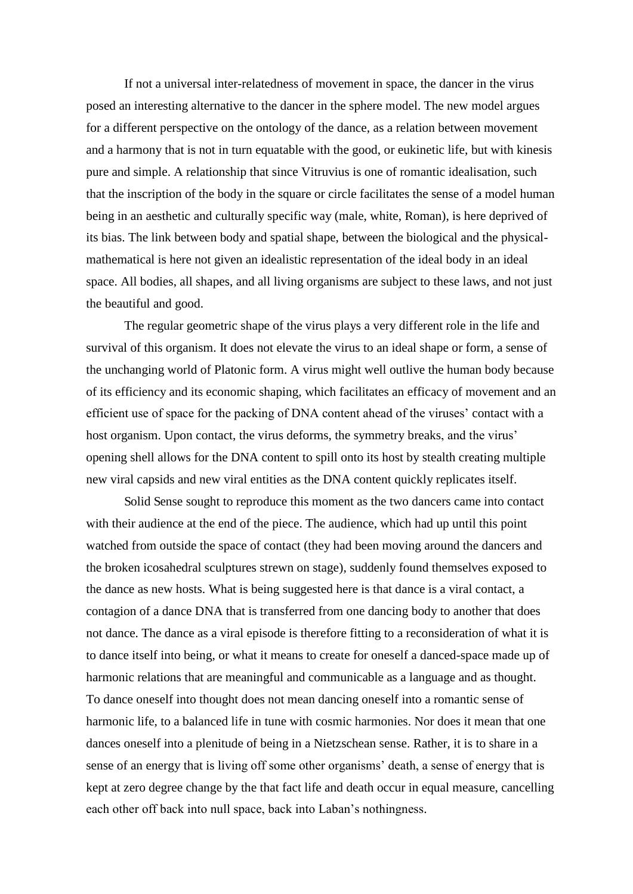If not a universal inter-relatedness of movement in space, the dancer in the virus posed an interesting alternative to the dancer in the sphere model. The new model argues for a different perspective on the ontology of the dance, as a relation between movement and a harmony that is not in turn equatable with the good, or eukinetic life, but with kinesis pure and simple. A relationship that since Vitruvius is one of romantic idealisation, such that the inscription of the body in the square or circle facilitates the sense of a model human being in an aesthetic and culturally specific way (male, white, Roman), is here deprived of its bias. The link between body and spatial shape, between the biological and the physicalmathematical is here not given an idealistic representation of the ideal body in an ideal space. All bodies, all shapes, and all living organisms are subject to these laws, and not just the beautiful and good.

The regular geometric shape of the virus plays a very different role in the life and survival of this organism. It does not elevate the virus to an ideal shape or form, a sense of the unchanging world of Platonic form. A virus might well outlive the human body because of its efficiency and its economic shaping, which facilitates an efficacy of movement and an efficient use of space for the packing of DNA content ahead of the viruses' contact with a host organism. Upon contact, the virus deforms, the symmetry breaks, and the virus' opening shell allows for the DNA content to spill onto its host by stealth creating multiple new viral capsids and new viral entities as the DNA content quickly replicates itself.

Solid Sense sought to reproduce this moment as the two dancers came into contact with their audience at the end of the piece. The audience, which had up until this point watched from outside the space of contact (they had been moving around the dancers and the broken icosahedral sculptures strewn on stage), suddenly found themselves exposed to the dance as new hosts. What is being suggested here is that dance is a viral contact, a contagion of a dance DNA that is transferred from one dancing body to another that does not dance. The dance as a viral episode is therefore fitting to a reconsideration of what it is to dance itself into being, or what it means to create for oneself a danced-space made up of harmonic relations that are meaningful and communicable as a language and as thought. To dance oneself into thought does not mean dancing oneself into a romantic sense of harmonic life, to a balanced life in tune with cosmic harmonies. Nor does it mean that one dances oneself into a plenitude of being in a Nietzschean sense. Rather, it is to share in a sense of an energy that is living off some other organisms' death, a sense of energy that is kept at zero degree change by the that fact life and death occur in equal measure, cancelling each other off back into null space, back into Laban's nothingness.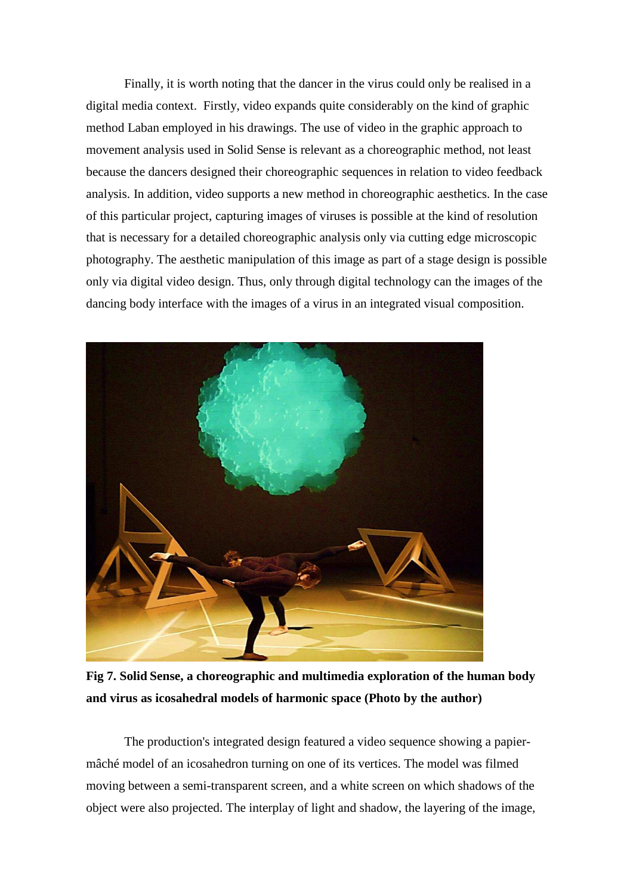Finally, it is worth noting that the dancer in the virus could only be realised in a digital media context. Firstly, video expands quite considerably on the kind of graphic method Laban employed in his drawings. The use of video in the graphic approach to movement analysis used in Solid Sense is relevant as a choreographic method, not least because the dancers designed their choreographic sequences in relation to video feedback analysis. In addition, video supports a new method in choreographic aesthetics. In the case of this particular project, capturing images of viruses is possible at the kind of resolution that is necessary for a detailed choreographic analysis only via cutting edge microscopic photography. The aesthetic manipulation of this image as part of a stage design is possible only via digital video design. Thus, only through digital technology can the images of the dancing body interface with the images of a virus in an integrated visual composition.



**Fig 7. Solid Sense, a choreographic and multimedia exploration of the human body and virus as icosahedral models of harmonic space (Photo by the author)** 

The production's integrated design featured a video sequence showing a papiermâché model of an icosahedron turning on one of its vertices. The model was filmed moving between a semi-transparent screen, and a white screen on which shadows of the object were also projected. The interplay of light and shadow, the layering of the image,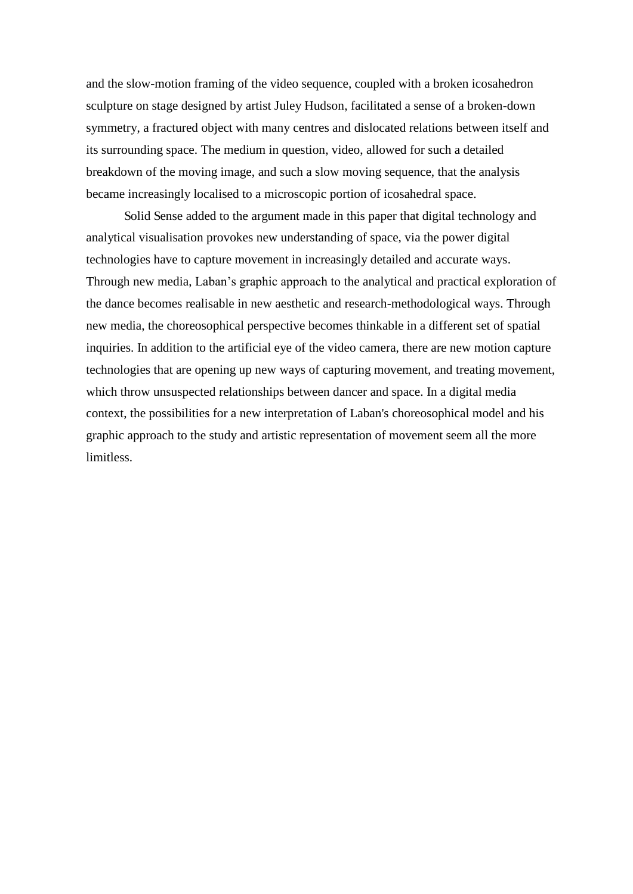and the slow-motion framing of the video sequence, coupled with a broken icosahedron sculpture on stage designed by artist Juley Hudson, facilitated a sense of a broken-down symmetry, a fractured object with many centres and dislocated relations between itself and its surrounding space. The medium in question, video, allowed for such a detailed breakdown of the moving image, and such a slow moving sequence, that the analysis became increasingly localised to a microscopic portion of icosahedral space.

Solid Sense added to the argument made in this paper that digital technology and analytical visualisation provokes new understanding of space, via the power digital technologies have to capture movement in increasingly detailed and accurate ways. Through new media, Laban's graphic approach to the analytical and practical exploration of the dance becomes realisable in new aesthetic and research-methodological ways. Through new media, the choreosophical perspective becomes thinkable in a different set of spatial inquiries. In addition to the artificial eye of the video camera, there are new motion capture technologies that are opening up new ways of capturing movement, and treating movement, which throw unsuspected relationships between dancer and space. In a digital media context, the possibilities for a new interpretation of Laban's choreosophical model and his graphic approach to the study and artistic representation of movement seem all the more limitless.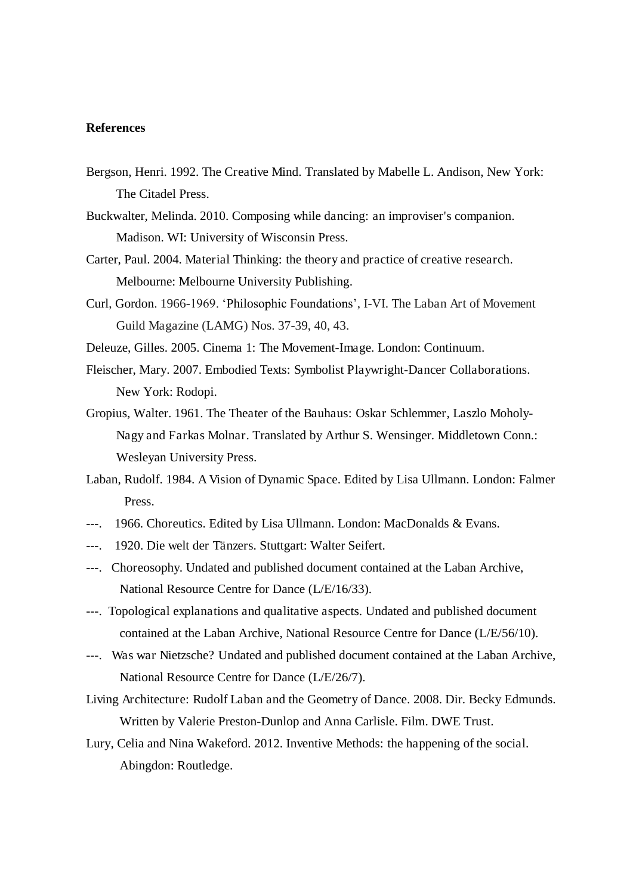### **References**

- Bergson, Henri. 1992. The Creative Mind. Translated by Mabelle L. Andison, New York: The Citadel Press.
- Buckwalter, Melinda. 2010. Composing while dancing: an improviser's companion. Madison. WI: University of Wisconsin Press.
- Carter, Paul. 2004. Material Thinking: the theory and practice of creative research. Melbourne: Melbourne University Publishing.
- Curl, Gordon. 1966-1969. 'Philosophic Foundations', I-VI. The Laban Art of Movement Guild Magazine (LAMG) Nos. 37-39, 40, 43.
- Deleuze, Gilles. 2005. Cinema 1: The Movement-Image. London: Continuum.
- Fleischer, Mary. 2007. Embodied Texts: Symbolist Playwright-Dancer Collaborations. New York: Rodopi.
- Gropius, Walter. 1961. The Theater of the Bauhaus: Oskar Schlemmer, Laszlo Moholy-Nagy and Farkas Molnar. Translated by Arthur S. Wensinger. Middletown Conn.: Wesleyan University Press.
- Laban, Rudolf. 1984. A Vision of Dynamic Space. Edited by Lisa Ullmann. London: Falmer Press.
- ---. 1966. Choreutics. Edited by Lisa Ullmann. London: MacDonalds & Evans.
- ---. 1920. Die welt der Tänzers. Stuttgart: Walter Seifert.
- ---. Choreosophy. Undated and published document contained at the Laban Archive, National Resource Centre for Dance (L/E/16/33).
- ---. Topological explanations and qualitative aspects. Undated and published document contained at the Laban Archive, National Resource Centre for Dance (L/E/56/10).
- ---. Was war Nietzsche? Undated and published document contained at the Laban Archive, National Resource Centre for Dance (L/E/26/7).
- Living Architecture: Rudolf Laban and the Geometry of Dance. 2008. Dir. Becky Edmunds. Written by Valerie Preston-Dunlop and Anna Carlisle. Film. DWE Trust.
- Lury, Celia and Nina Wakeford. 2012. Inventive Methods: the happening of the social. Abingdon: Routledge.